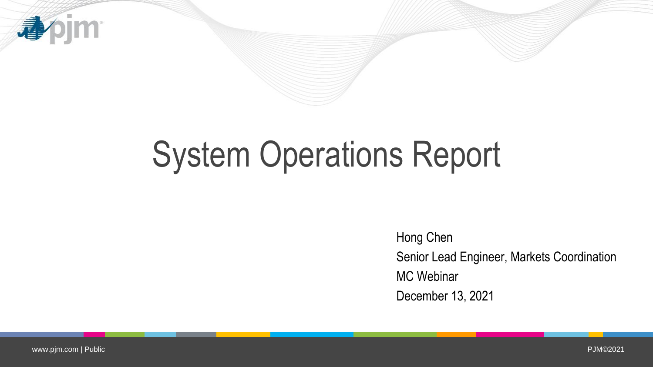

# System Operations Report

Hong Chen Senior Lead Engineer, Markets Coordination MC Webinar December 13, 2021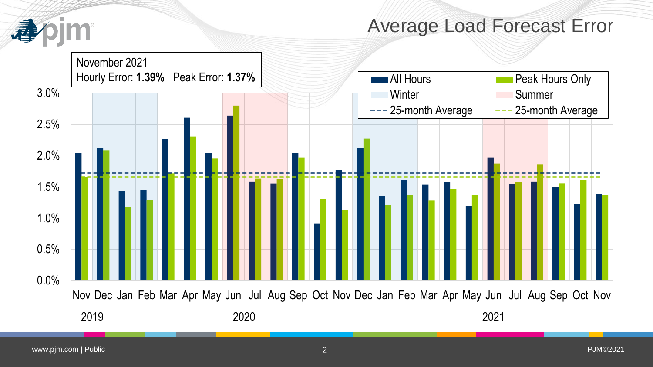

### Average Load Forecast Error

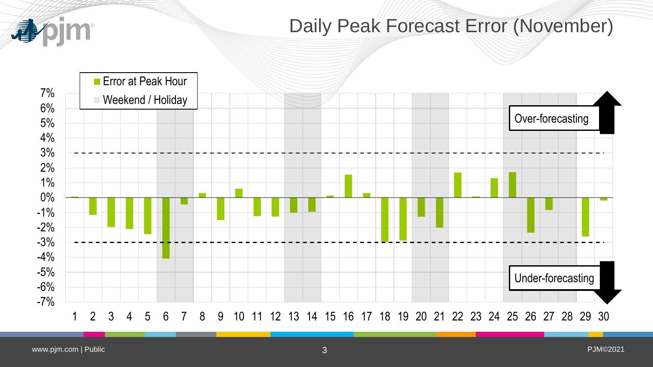

## Daily Peak Forecast Error (November)

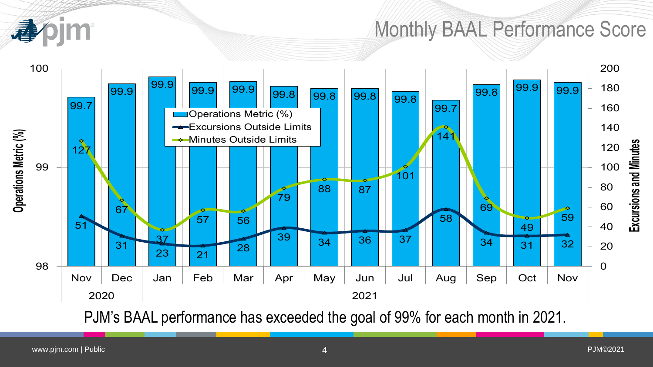## Monthly BAAL Performance Score



PJM's BAAL performance has exceeded the goal of 99% for each month in 2021.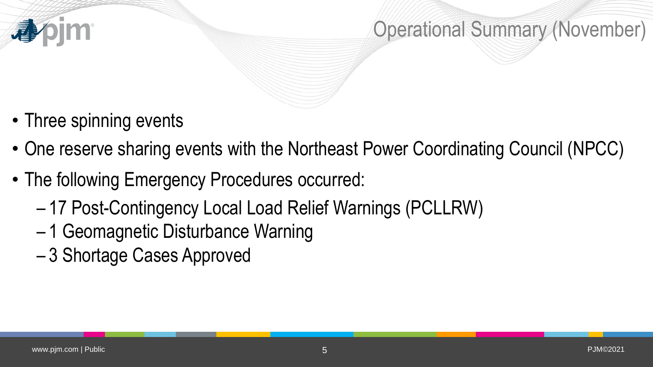

## Operational Summary (November)

- Three spinning events
- One reserve sharing events with the Northeast Power Coordinating Council (NPCC)
- The following Emergency Procedures occurred:
	- 17 Post-Contingency Local Load Relief Warnings (PCLLRW)
	- 1 Geomagnetic Disturbance Warning
	- 3 Shortage Cases Approved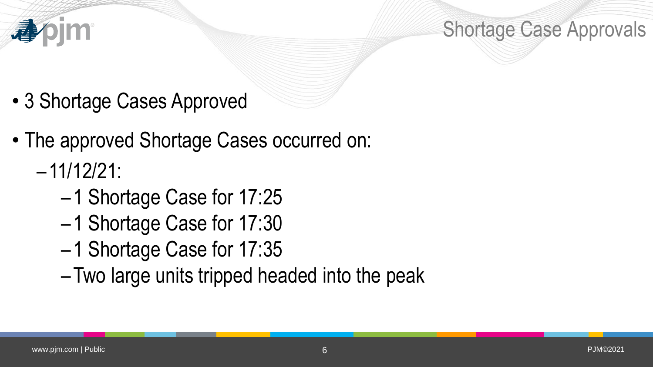

Shortage Case Approvals

- 3 Shortage Cases Approved
- The approved Shortage Cases occurred on:
	- –11/12/21:
		- –1 Shortage Case for 17:25
		- –1 Shortage Case for 17:30
		- –1 Shortage Case for 17:35
		- –Two large units tripped headed into the peak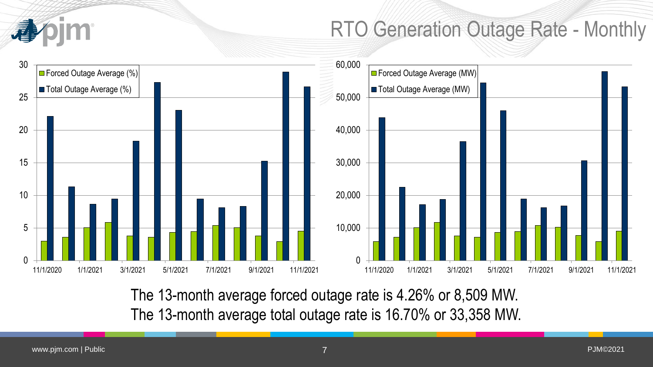

# RTO Generation Outage Rate - Monthly



The 13-month average forced outage rate is 4.26% or 8,509 MW. The 13-month average total outage rate is 16.70% or 33,358 MW.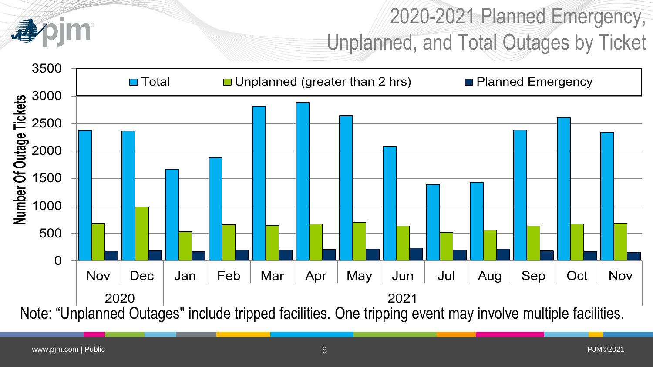

# 2020-2021 Planned Emergency, Unplanned, and Total Outages by Ticket

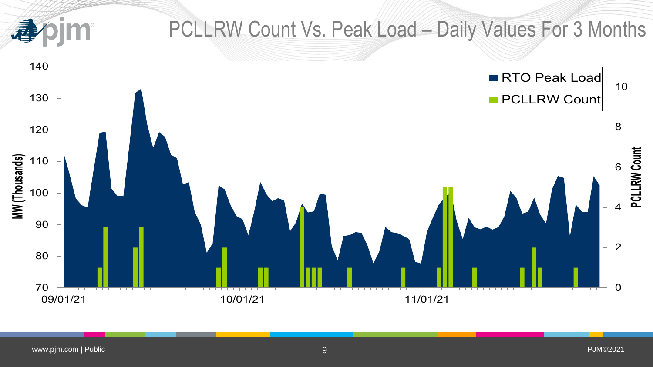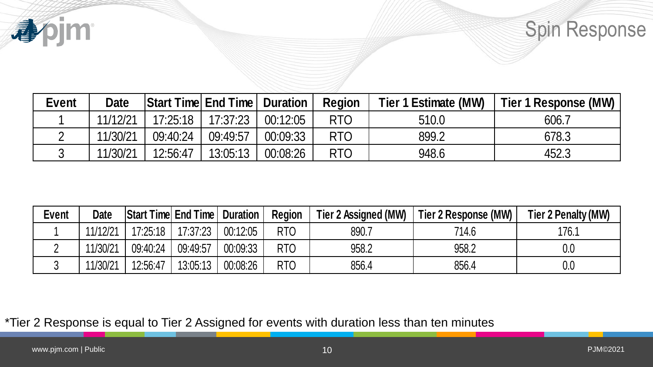

# Spin Response

| <b>Event</b> | <b>Date</b> | <b>Start Time End Time Duration</b> |          |          | <b>Region</b> | Tier 1 Estimate (MW) | Tier 1 Response (MW) |
|--------------|-------------|-------------------------------------|----------|----------|---------------|----------------------|----------------------|
|              | 11/12/21    | 17:25:18                            | 17:37:23 | 00:12:05 | <b>RTO</b>    | 510.0                | 606.7                |
|              | 11/30/21    | 09:40:24                            | 09:49:57 | 00:09:33 | <b>RTO</b>    | 899.2                | 678.3                |
|              | 11/30/21    | 12:56:47                            | 13:05:13 | 00:08:26 | <b>RTO</b>    | 948.6                | 452.3                |

| <b>Event</b>                   | <b>Date</b>             |                                        |          | Start Time End Time         | <b>Duration</b>             | <b>Region</b>        | <b>Tier 1 Estimate (MW)</b>   | Tier 1 Response (MW)         |
|--------------------------------|-------------------------|----------------------------------------|----------|-----------------------------|-----------------------------|----------------------|-------------------------------|------------------------------|
|                                | 11/12/21                |                                        | 17:25:18 | 17:37:23                    | 00:12:05                    | <b>RTO</b>           | 510.0                         | 606.7                        |
| $\overline{2}$                 | 11/30/21                |                                        | 09:40:24 | 09:49:57                    | 00:09:33                    | RTO                  | 899.2                         | 678.3                        |
| $\mathfrak{S}$                 | 11/30/21                |                                        | 12:56:47 | 13:05:13                    | 00:08:26                    | <b>RTO</b>           | 948.6                         | 452.3                        |
|                                |                         |                                        |          |                             |                             |                      |                               |                              |
|                                |                         |                                        |          |                             |                             |                      |                               |                              |
|                                | <b>Date</b><br>11/12/21 | <b>Start Time End Time</b><br>17:25:18 | 17:37:23 | <b>Duration</b><br>00:12:05 | <b>Region</b><br><b>RTO</b> | Tier 2 Assigned (MW) | Tier 2 Response (MW)<br>714.6 | Tier 2 Penalty (MW)<br>176.1 |
| <b>Event</b><br>$\overline{2}$ | 11/30/21                | 09:40:24                               | 09:49:57 | 00:09:33                    | RTO                         | 890.7<br>958.2       | 958.2                         | 0.0                          |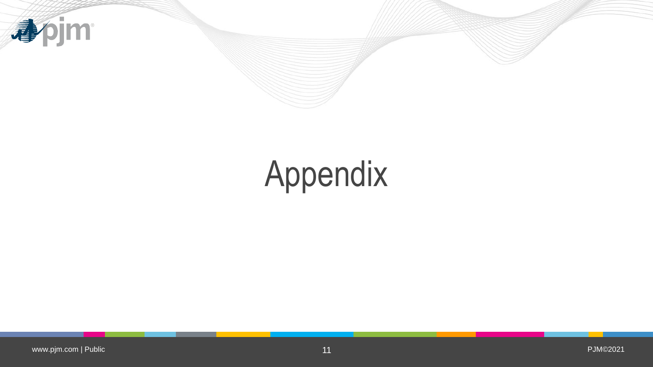

# Appendix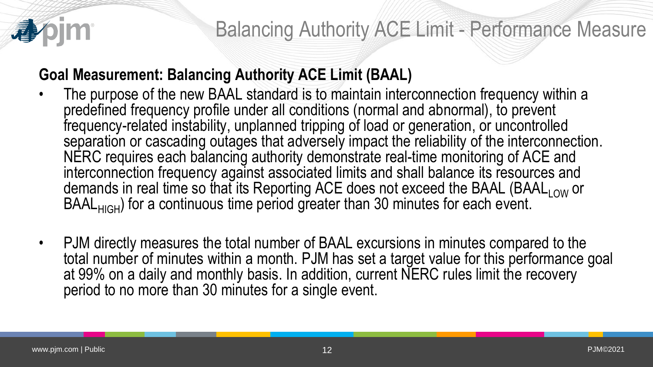

## **Goal Measurement: Balancing Authority ACE Limit (BAAL)**

- The purpose of the new BAAL standard is to maintain interconnection frequency within a predefined frequency profile under all conditions (normal and abnormal), to prevent frequency-related instability, unplanned tripping of load or generation, or uncontrolled separation or cascading outages that adversely impact the reliability of the interconnection. NERC requires each balancing authority demonstrate real-time monitoring of ACE and interconnection frequency against associated limits and shall balance its resources and demands in real time so that its Reporting ACE does not exceed the BAAL (BAAL $_{\mathsf{LOW}}$  or BAAL<sub>HIGH</sub>) for a continuous time period greater than 30 minutes for each event.
- PJM directly measures the total number of BAAL excursions in minutes compared to the total number of minutes within a month. PJM has set a target value for this performance goal at 99% on a daily and monthly basis. In addition, current NERC rules limit the recovery period to no more than 30 minutes for a single event.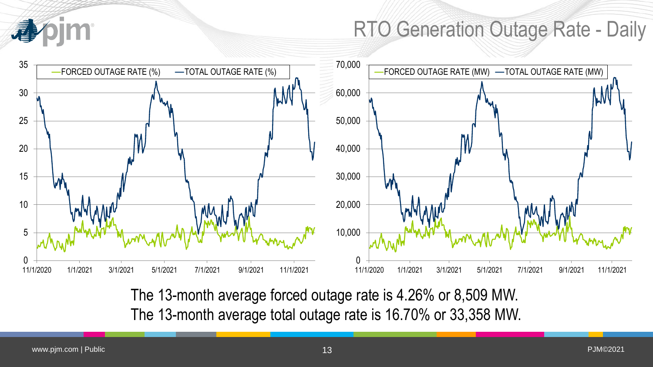# RTO Generation Outage Rate - Daily



The 13-month average forced outage rate is 4.26% or 8,509 MW. The 13-month average total outage rate is 16.70% or 33,358 MW.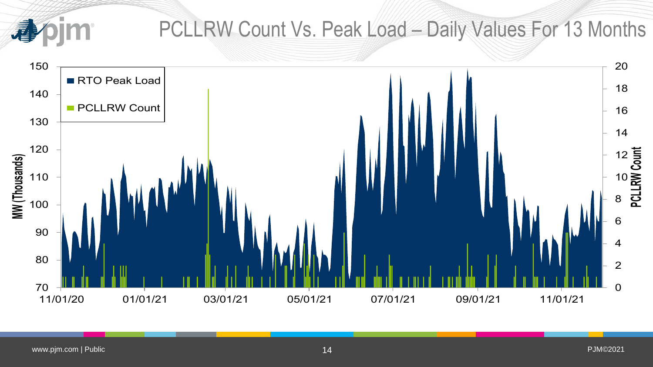尋

## PCLLRW Count Vs. Peak Load – Daily Values For 13 Months